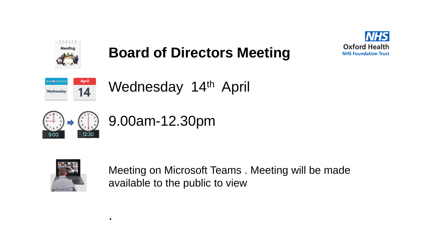



## **Board of Directors Meeting**



Wednesday 14<sup>th</sup> April







.

Meeting on Microsoft Teams . Meeting will be made available to the public to view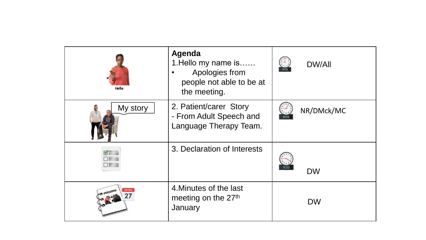| Hello    | Agenda<br>1. Hello my name is<br>Apologies from<br>people not able to be at<br>the meeting. | <b>DW/All</b><br>9:00 |
|----------|---------------------------------------------------------------------------------------------|-----------------------|
| My story | 2. Patient/carer Story<br>- From Adult Speech and<br>Language Therapy Team.                 | NR/DMck/MC            |
|          | 3. Declaration of Interests                                                                 | 9:20<br><b>DW</b>     |
| minutes  | 4. Minutes of the last<br>meeting on the 27 <sup>th</sup><br>January                        | <b>DW</b>             |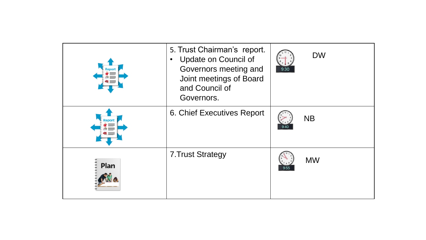|      | 5. Trust Chairman's report.<br><b>Update on Council of</b><br>$\bullet$<br>Governors meeting and<br>Joint meetings of Board<br>and Council of<br>Governors. | 9:30 | <b>DW</b> |
|------|-------------------------------------------------------------------------------------------------------------------------------------------------------------|------|-----------|
|      | 6. Chief Executives Report                                                                                                                                  |      | <b>NB</b> |
| Plan | <b>7. Trust Strategy</b>                                                                                                                                    | 9:55 | <b>MW</b> |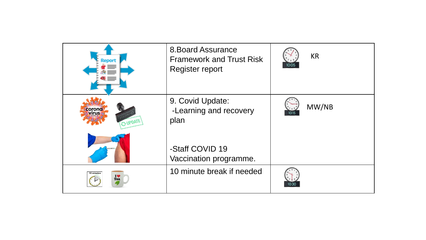| Report                  | <b>8. Board Assurance</b><br><b>Framework and Trust Risk</b><br><b>Register report</b> | <b>KR</b><br>10:05 |
|-------------------------|----------------------------------------------------------------------------------------|--------------------|
| corona<br><b>VIPDAI</b> | 9. Covid Update:<br>-Learning and recovery<br>plan                                     | MW/NB<br>10:15     |
|                         | -Staff COVID 19<br>Vaccination programme.                                              |                    |
| 10 minutes<br>IV<br>Tea | 10 minute break if needed                                                              | 10:30              |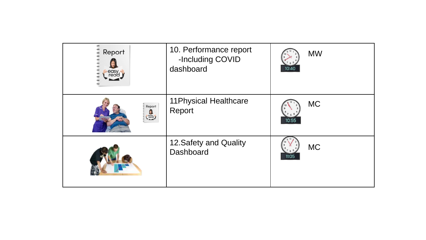| Report<br>easy<br>read                                                                                         | 10. Performance report<br>-Including COVID<br>dashboard | <b>MW</b><br>10:40 |
|----------------------------------------------------------------------------------------------------------------|---------------------------------------------------------|--------------------|
| Report<br>$\begin{array}{c}\n\vdots \\ \begin{array}{c}\n\text{easy} \\ \text{read}\n\end{array}\n\end{array}$ | <b>11 Physical Healthcare</b><br>Report                 | <b>MC</b><br>10:55 |
|                                                                                                                | 12. Safety and Quality<br>Dashboard                     | <b>MC</b><br>11:05 |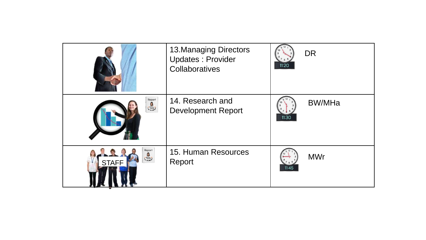|                                                                                                                | <b>13. Managing Directors</b><br><b>Updates: Provider</b><br>Collaboratives | 11:20 | <b>DR</b>     |
|----------------------------------------------------------------------------------------------------------------|-----------------------------------------------------------------------------|-------|---------------|
|                                                                                                                | 14. Research and<br><b>Development Report</b>                               | 11:30 | <b>BW/MHa</b> |
| Report<br>$\begin{array}{c}\n\bullet \\ \bullet \\ \bullet \\ \bullet \\ \bullet\n\end{array}$<br><b>STAFF</b> | 15. Human Resources<br>Report                                               | 11:45 | <b>MWr</b>    |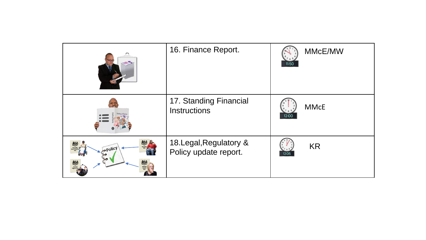|         | 16. Finance Report.                              | MMcE/MW<br>11:50     |
|---------|--------------------------------------------------|----------------------|
|         | 17. Standing Financial<br><b>Instructions</b>    | <b>MMcE</b><br>12:00 |
| .policy | 18. Legal, Regulatory &<br>Policy update report. | <b>KR</b><br>12:05   |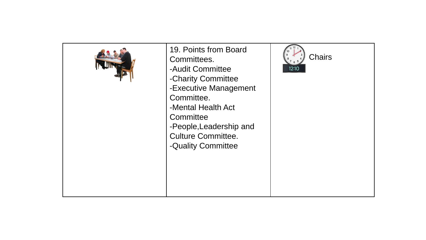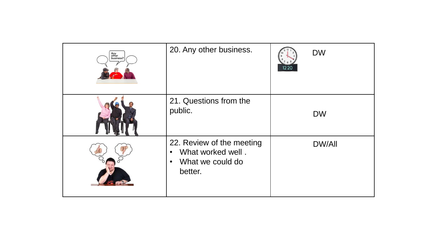| Any<br>other<br>business? | 20. Any other business.                                                                                 | 12:20 | <b>DW</b>     |
|---------------------------|---------------------------------------------------------------------------------------------------------|-------|---------------|
|                           | 21. Questions from the<br>public.                                                                       |       | <b>DW</b>     |
|                           | 22. Review of the meeting<br>What worked well.<br>$\bullet$<br>What we could do<br>$\bullet$<br>better. |       | <b>DW/All</b> |